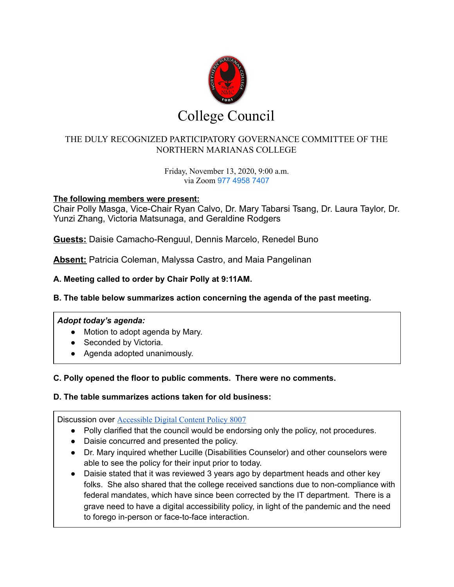

# THE DULY RECOGNIZED PARTICIPATORY GOVERNANCE COMMITTEE OF THE NORTHERN MARIANAS COLLEGE

Friday, November 13, 2020, 9:00 a.m. via Zoom 977 4958 7407

### **The following members were present:**

Chair Polly Masga, Vice-Chair Ryan Calvo, Dr. Mary Tabarsi Tsang, Dr. Laura Taylor, Dr. Yunzi Zhang, Victoria Matsunaga, and Geraldine Rodgers

**Guests:** Daisie Camacho-Renguul, Dennis Marcelo, Renedel Buno

**Absent:** Patricia Coleman, Malyssa Castro, and Maia Pangelinan

## **A. Meeting called to order by Chair Polly at 9:11AM.**

## **B. The table below summarizes action concerning the agenda of the past meeting.**

#### *Adopt today's agenda:*

- Motion to adopt agenda by Mary.
- Seconded by Victoria.
- Agenda adopted unanimously.

#### **C. Polly opened the floor to public comments. There were no comments.**

#### **D. The table summarizes actions taken for old business:**

Discussion over **[Accessible](https://drive.google.com/drive/folders/1MnW0gtvSPD5jo-RKBaYIF39Mx57jzLvg?usp=sharing) Digital Content Policy 8007** 

- Polly clarified that the council would be endorsing only the policy, not procedures.
- Daisie concurred and presented the policy.
- Dr. Mary inquired whether Lucille (Disabilities Counselor) and other counselors were able to see the policy for their input prior to today.
- Daisie stated that it was reviewed 3 years ago by department heads and other key folks. She also shared that the college received sanctions due to non-compliance with federal mandates, which have since been corrected by the IT department. There is a grave need to have a digital accessibility policy, in light of the pandemic and the need to forego in-person or face-to-face interaction.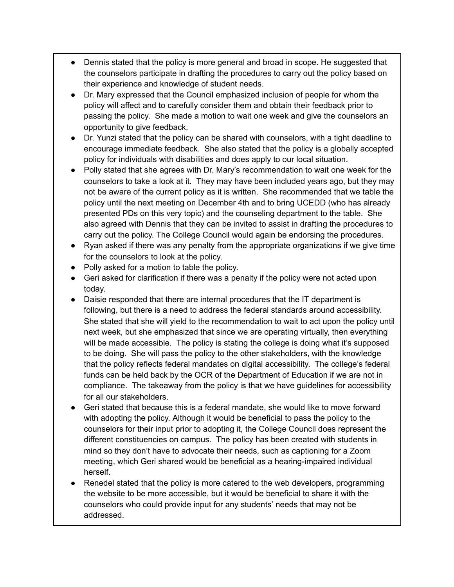- Dennis stated that the policy is more general and broad in scope. He suggested that the counselors participate in drafting the procedures to carry out the policy based on their experience and knowledge of student needs.
- Dr. Mary expressed that the Council emphasized inclusion of people for whom the policy will affect and to carefully consider them and obtain their feedback prior to passing the policy. She made a motion to wait one week and give the counselors an opportunity to give feedback.
- Dr. Yunzi stated that the policy can be shared with counselors, with a tight deadline to encourage immediate feedback. She also stated that the policy is a globally accepted policy for individuals with disabilities and does apply to our local situation.
- Polly stated that she agrees with Dr. Mary's recommendation to wait one week for the counselors to take a look at it. They may have been included years ago, but they may not be aware of the current policy as it is written. She recommended that we table the policy until the next meeting on December 4th and to bring UCEDD (who has already presented PDs on this very topic) and the counseling department to the table. She also agreed with Dennis that they can be invited to assist in drafting the procedures to carry out the policy. The College Council would again be endorsing the procedures.
- Ryan asked if there was any penalty from the appropriate organizations if we give time for the counselors to look at the policy.
- Polly asked for a motion to table the policy.
- Geri asked for clarification if there was a penalty if the policy were not acted upon today.
- Daisie responded that there are internal procedures that the IT department is following, but there is a need to address the federal standards around accessibility. She stated that she will yield to the recommendation to wait to act upon the policy until next week, but she emphasized that since we are operating virtually, then everything will be made accessible. The policy is stating the college is doing what it's supposed to be doing. She will pass the policy to the other stakeholders, with the knowledge that the policy reflects federal mandates on digital accessibility. The college's federal funds can be held back by the OCR of the Department of Education if we are not in compliance. The takeaway from the policy is that we have guidelines for accessibility for all our stakeholders.
- Geri stated that because this is a federal mandate, she would like to move forward with adopting the policy. Although it would be beneficial to pass the policy to the counselors for their input prior to adopting it, the College Council does represent the different constituencies on campus. The policy has been created with students in mind so they don't have to advocate their needs, such as captioning for a Zoom meeting, which Geri shared would be beneficial as a hearing-impaired individual herself.
- Renedel stated that the policy is more catered to the web developers, programming the website to be more accessible, but it would be beneficial to share it with the counselors who could provide input for any students' needs that may not be addressed.